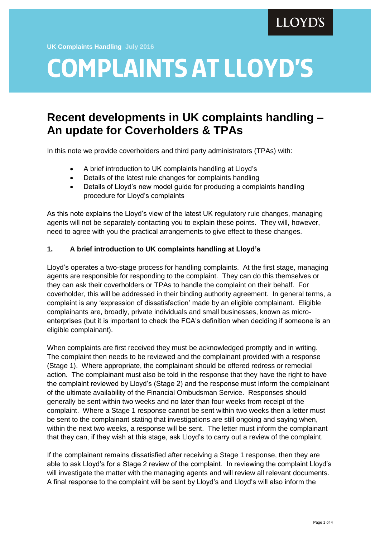**UK Complaints Handling July 2016**

# **complaints at lloyd's**

# **Recent developments in UK complaints handling – An update for Coverholders & TPAs**

In this note we provide coverholders and third party administrators (TPAs) with:

- A brief introduction to UK complaints handling at Lloyd's
- Details of the latest rule changes for complaints handling
- Details of Lloyd's new model guide for producing a complaints handling procedure for Lloyd's complaints

As this note explains the Lloyd's view of the latest UK regulatory rule changes, managing agents will not be separately contacting you to explain these points. They will, however, need to agree with you the practical arrangements to give effect to these changes.

# **1. A brief introduction to UK complaints handling at Lloyd's**

Lloyd's operates a two-stage process for handling complaints. At the first stage, managing agents are responsible for responding to the complaint. They can do this themselves or they can ask their coverholders or TPAs to handle the complaint on their behalf. For coverholder, this will be addressed in their binding authority agreement. In general terms, a complaint is any 'expression of dissatisfaction' made by an eligible complainant. Eligible complainants are, broadly, private individuals and small businesses, known as microenterprises (but it is important to check the FCA's definition when deciding if someone is an eligible complainant).

When complaints are first received they must be acknowledged promptly and in writing. The complaint then needs to be reviewed and the complainant provided with a response (Stage 1). Where appropriate, the complainant should be offered redress or remedial action. The complainant must also be told in the response that they have the right to have the complaint reviewed by Lloyd's (Stage 2) and the response must inform the complainant of the ultimate availability of the Financial Ombudsman Service. Responses should generally be sent within two weeks and no later than four weeks from receipt of the complaint. Where a Stage 1 response cannot be sent within two weeks then a letter must be sent to the complainant stating that investigations are still ongoing and saying when, within the next two weeks, a response will be sent. The letter must inform the complainant that they can, if they wish at this stage, ask Lloyd's to carry out a review of the complaint.

If the complainant remains dissatisfied after receiving a Stage 1 response, then they are able to ask Lloyd's for a Stage 2 review of the complaint. In reviewing the complaint Lloyd's will investigate the matter with the managing agents and will review all relevant documents. A final response to the complaint will be sent by Lloyd's and Lloyd's will also inform the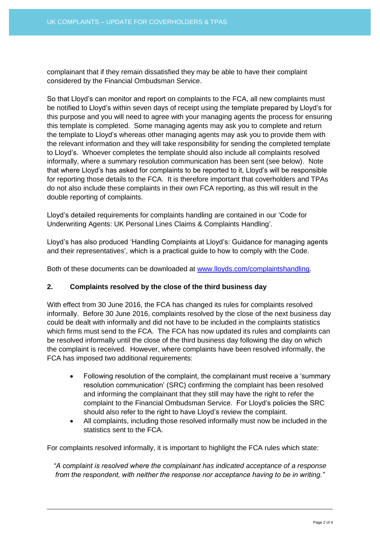complainant that if they remain dissatisfied they may be able to have their complaint considered by the Financial Ombudsman Service.

So that Lloyd's can monitor and report on complaints to the FCA, all new complaints must be notified to Lloyd's within seven days of receipt using the template prepared by Lloyd's for this purpose and you will need to agree with your managing agents the process for ensuring this template is completed. Some managing agents may ask you to complete and return the template to Lloyd's whereas other managing agents may ask you to provide them with the relevant information and they will take responsibility for sending the completed template to Lloyd's. Whoever completes the template should also include all complaints resolved informally, where a summary resolution communication has been sent (see below). Note that where Lloyd's has asked for complaints to be reported to it, Lloyd's will be responsible for reporting those details to the FCA. It is therefore important that coverholders and TPAs do not also include these complaints in their own FCA reporting, as this will result in the double reporting of complaints.

Lloyd's detailed requirements for complaints handling are contained in our 'Code for Underwriting Agents: UK Personal Lines Claims & Complaints Handling'.

Lloyd's has also produced 'Handling Complaints at Lloyd's: Guidance for managing agents and their representatives', which is a practical guide to how to comply with the Code.

Both of these documents can be downloaded at [www.lloyds.com/complaintshandling.](http://www.lloyds.com/complaintshandling)

## **2. Complaints resolved by the close of the third business day**

With effect from 30 June 2016, the FCA has changed its rules for complaints resolved informally. Before 30 June 2016, complaints resolved by the close of the next business day could be dealt with informally and did not have to be included in the complaints statistics which firms must send to the FCA. The FCA has now updated its rules and complaints can be resolved informally until the close of the third business day following the day on which the complaint is received. However, where complaints have been resolved informally, the FCA has imposed two additional requirements:

- Following resolution of the complaint, the complainant must receive a 'summary resolution communication' (SRC) confirming the complaint has been resolved and informing the complainant that they still may have the right to refer the complaint to the Financial Ombudsman Service. For Lloyd's policies the SRC should also refer to the right to have Lloyd's review the complaint.
- All complaints, including those resolved informally must now be included in the statistics sent to the FCA.

For complaints resolved informally, it is important to highlight the FCA rules which state:

*"A complaint is resolved where the complainant has indicated acceptance of a response from the respondent, with neither the response nor acceptance having to be in writing."*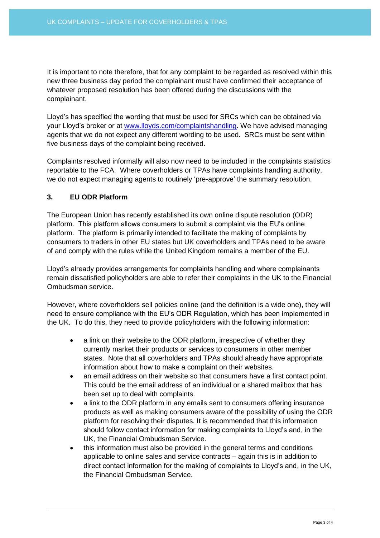It is important to note therefore, that for any complaint to be regarded as resolved within this new three business day period the complainant must have confirmed their acceptance of whatever proposed resolution has been offered during the discussions with the complainant.

Lloyd's has specified the wording that must be used for SRCs which can be obtained via your Lloyd's broker or at [www.lloyds.com/complaintshandling.](http://www.lloyds.com/complaintshandling) We have advised managing agents that we do not expect any different wording to be used. SRCs must be sent within five business days of the complaint being received.

Complaints resolved informally will also now need to be included in the complaints statistics reportable to the FCA. Where coverholders or TPAs have complaints handling authority, we do not expect managing agents to routinely 'pre-approve' the summary resolution.

#### **3. EU ODR Platform**

The European Union has recently established its own online dispute resolution (ODR) platform. This platform allows consumers to submit a complaint via the EU's online platform. The platform is primarily intended to facilitate the making of complaints by consumers to traders in other EU states but UK coverholders and TPAs need to be aware of and comply with the rules while the United Kingdom remains a member of the EU.

Lloyd's already provides arrangements for complaints handling and where complainants remain dissatisfied policyholders are able to refer their complaints in the UK to the Financial Ombudsman service.

However, where coverholders sell policies online (and the definition is a wide one), they will need to ensure compliance with the EU's ODR Regulation, which has been implemented in the UK. To do this, they need to provide policyholders with the following information:

- a link on their website to the ODR platform, irrespective of whether they currently market their products or services to consumers in other member states. Note that all coverholders and TPAs should already have appropriate information about how to make a complaint on their websites.
- an email address on their website so that consumers have a first contact point. This could be the email address of an individual or a shared mailbox that has been set up to deal with complaints.
- a link to the ODR platform in any emails sent to consumers offering insurance products as well as making consumers aware of the possibility of using the ODR platform for resolving their disputes. It is recommended that this information should follow contact information for making complaints to Lloyd's and, in the UK, the Financial Ombudsman Service.
- this information must also be provided in the general terms and conditions applicable to online sales and service contracts – again this is in addition to direct contact information for the making of complaints to Lloyd's and, in the UK, the Financial Ombudsman Service.